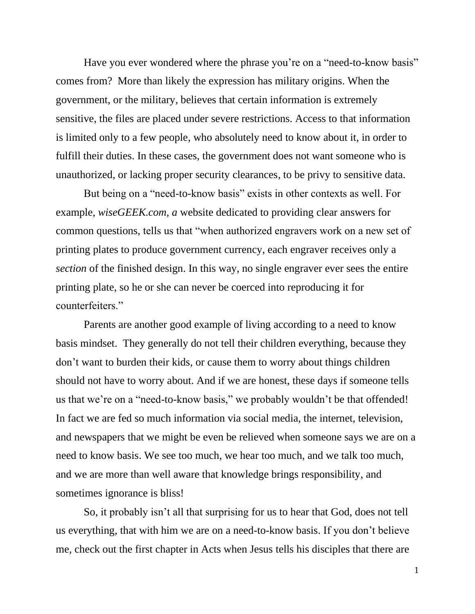Have you ever wondered where the phrase you're on a "need-to-know basis" comes from? More than likely the expression has military origins. When the government, or the military, believes that certain information is extremely sensitive, the files are placed under severe restrictions. Access to that information is limited only to a few people, who absolutely need to know about it, in order to fulfill their duties. In these cases, the government does not want someone who is unauthorized, or lacking proper security clearances, to be privy to sensitive data.

But being on a "need-to-know basis" exists in other contexts as well. For example, *wiseGEEK.com, a* website dedicated to providing clear answers for common questions, tells us that "when authorized engravers work on a new set of printing plates to produce government currency, each engraver receives only a *section* of the finished design. In this way, no single engraver ever sees the entire printing plate, so he or she can never be coerced into reproducing it for counterfeiters."

Parents are another good example of living according to a need to know basis mindset. They generally do not tell their children everything, because they don't want to burden their kids, or cause them to worry about things children should not have to worry about. And if we are honest, these days if someone tells us that we're on a "need-to-know basis," we probably wouldn't be that offended! In fact we are fed so much information via social media, the internet, television, and newspapers that we might be even be relieved when someone says we are on a need to know basis. We see too much, we hear too much, and we talk too much, and we are more than well aware that knowledge brings responsibility, and sometimes ignorance is bliss!

So, it probably isn't all that surprising for us to hear that God, does not tell us everything, that with him we are on a need-to-know basis. If you don't believe me, check out the first chapter in Acts when Jesus tells his disciples that there are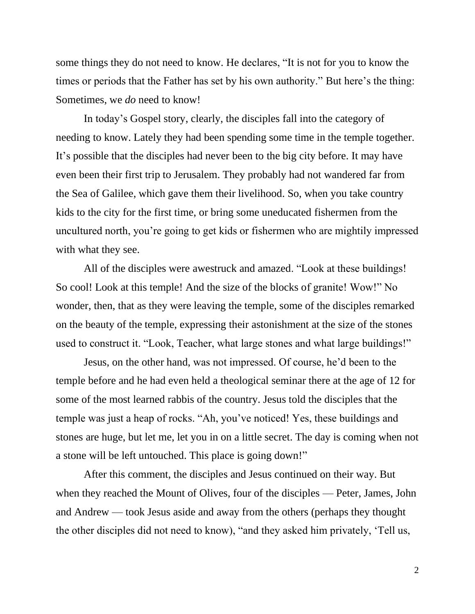some things they do not need to know. He declares, "It is not for you to know the times or periods that the Father has set by his own authority." But here's the thing: Sometimes, we *do* need to know!

In today's Gospel story, clearly, the disciples fall into the category of needing to know. Lately they had been spending some time in the temple together. It's possible that the disciples had never been to the big city before. It may have even been their first trip to Jerusalem. They probably had not wandered far from the Sea of Galilee, which gave them their livelihood. So, when you take country kids to the city for the first time, or bring some uneducated fishermen from the uncultured north, you're going to get kids or fishermen who are mightily impressed with what they see.

All of the disciples were awestruck and amazed. "Look at these buildings! So cool! Look at this temple! And the size of the blocks of granite! Wow!" No wonder, then, that as they were leaving the temple, some of the disciples remarked on the beauty of the temple, expressing their astonishment at the size of the stones used to construct it. "Look, Teacher, what large stones and what large buildings!"

Jesus, on the other hand, was not impressed. Of course, he'd been to the temple before and he had even held a theological seminar there at the age of 12 for some of the most learned rabbis of the country. Jesus told the disciples that the temple was just a heap of rocks. "Ah, you've noticed! Yes, these buildings and stones are huge, but let me, let you in on a little secret. The day is coming when not a stone will be left untouched. This place is going down!"

After this comment, the disciples and Jesus continued on their way. But when they reached the Mount of Olives, four of the disciples — Peter, James, John and Andrew — took Jesus aside and away from the others (perhaps they thought the other disciples did not need to know), "and they asked him privately, 'Tell us,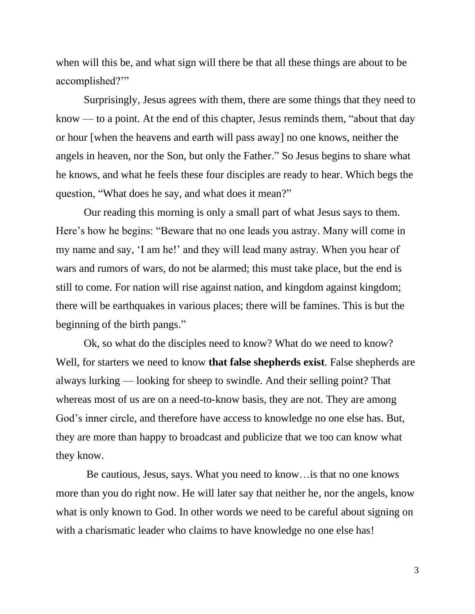when will this be, and what sign will there be that all these things are about to be accomplished?'"

Surprisingly, Jesus agrees with them, there are some things that they need to know — to a point. At the end of this chapter, Jesus reminds them, "about that day or hour [when the heavens and earth will pass away] no one knows, neither the angels in heaven, nor the Son, but only the Father." So Jesus begins to share what he knows, and what he feels these four disciples are ready to hear. Which begs the question, "What does he say, and what does it mean?"

Our reading this morning is only a small part of what Jesus says to them. Here's how he begins: "Beware that no one leads you astray. Many will come in my name and say, 'I am he!' and they will lead many astray. When you hear of wars and rumors of wars, do not be alarmed; this must take place, but the end is still to come. For nation will rise against nation, and kingdom against kingdom; there will be earthquakes in various places; there will be famines. This is but the beginning of the birth pangs."

Ok, so what do the disciples need to know? What do we need to know? Well, for starters we need to know **that false shepherds exist***.* False shepherds are always lurking — looking for sheep to swindle. And their selling point? That whereas most of us are on a need-to-know basis, they are not. They are among God's inner circle, and therefore have access to knowledge no one else has. But, they are more than happy to broadcast and publicize that we too can know what they know.

Be cautious, Jesus, says. What you need to know…is that no one knows more than you do right now. He will later say that neither he, nor the angels, know what is only known to God. In other words we need to be careful about signing on with a charismatic leader who claims to have knowledge no one else has!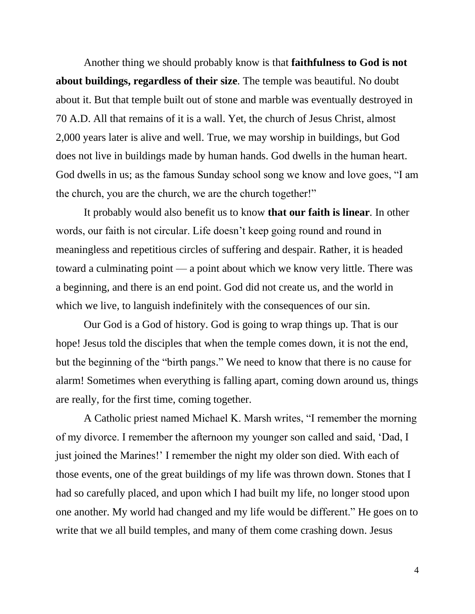Another thing we should probably know is that **faithfulness to God is not about buildings, regardless of their size***.* The temple was beautiful. No doubt about it. But that temple built out of stone and marble was eventually destroyed in 70 A.D. All that remains of it is a wall. Yet, the church of Jesus Christ, almost 2,000 years later is alive and well. True, we may worship in buildings, but God does not live in buildings made by human hands. God dwells in the human heart. God dwells in us; as the famous Sunday school song we know and love goes, "I am the church, you are the church, we are the church together!"

It probably would also benefit us to know **that our faith is linear***.* In other words, our faith is not circular. Life doesn't keep going round and round in meaningless and repetitious circles of suffering and despair. Rather, it is headed toward a culminating point — a point about which we know very little. There was a beginning*,* and there is an end point. God did not create us, and the world in which we live, to languish indefinitely with the consequences of our sin.

Our God is a God of history. God is going to wrap things up. That is our hope! Jesus told the disciples that when the temple comes down, it is not the end, but the beginning of the "birth pangs." We need to know that there is no cause for alarm! Sometimes when everything is falling apart, coming down around us, things are really, for the first time, coming together.

A Catholic priest named Michael K. Marsh writes, "I remember the morning of my divorce. I remember the afternoon my younger son called and said, 'Dad, I just joined the Marines!' I remember the night my older son died. With each of those events, one of the great buildings of my life was thrown down. Stones that I had so carefully placed, and upon which I had built my life, no longer stood upon one another. My world had changed and my life would be different." He goes on to write that we all build temples, and many of them come crashing down. Jesus